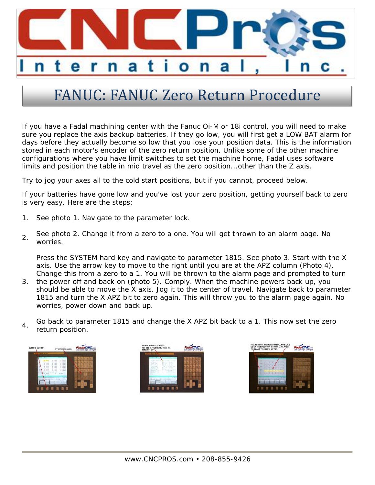

## FANUC: FANUC Zero Return Procedure

If you have a Fadal machining center with the Fanuc Oi-M or 18i control, you will need to make sure you replace the axis backup batteries. If they go low, you will first get a LOW BAT alarm for days before they actually become so low that you lose your position data. This is the information stored in each motor's encoder of the zero return position. Unlike some of the other machine configurations where you have limit switches to set the machine home, Fadal uses software limits and position the table in mid travel as the zero position...other than the Z axis.

Try to jog your axes all to the cold start positions, but if you cannot, proceed below.

If your batteries have gone low and you've lost your zero position, getting yourself back to zero is very easy. Here are the steps:

- 1. See photo 1. Navigate to the parameter lock.
- $2<sub>2</sub>$  See photo 2. Change it from a zero to a one. You will get thrown to an alarm page. No worries.

Press the SYSTEM hard key and navigate to parameter 1815. See photo 3. Start with the X axis. Use the arrow key to move to the right until you are at the APZ column (Photo 4). Change this from a zero to a 1. You will be thrown to the alarm page and prompted to turn

- 3. the power off and back on (photo 5). Comply. When the machine powers back up, you should be able to move the X axis. Jog it to the center of travel. Navigate back to parameter 1815 and turn the X APZ bit to zero again. This will throw you to the alarm page again. No worries, power down and back up.
- $4$  Go back to parameter 1815 and change the X APZ bit back to a 1. This now set the zero return position.

| OPPSET/SETTINGS KEY |   | <b>Done</b> | <b>Sine Hight, Derricht</b> |   |   |
|---------------------|---|-------------|-----------------------------|---|---|
|                     |   |             |                             | п |   |
|                     | ٠ |             |                             |   |   |
|                     |   |             |                             | F | ٠ |
|                     |   |             |                             |   |   |
|                     |   |             |                             |   |   |
| . .                 |   |             |                             |   |   |
|                     |   |             |                             |   |   |